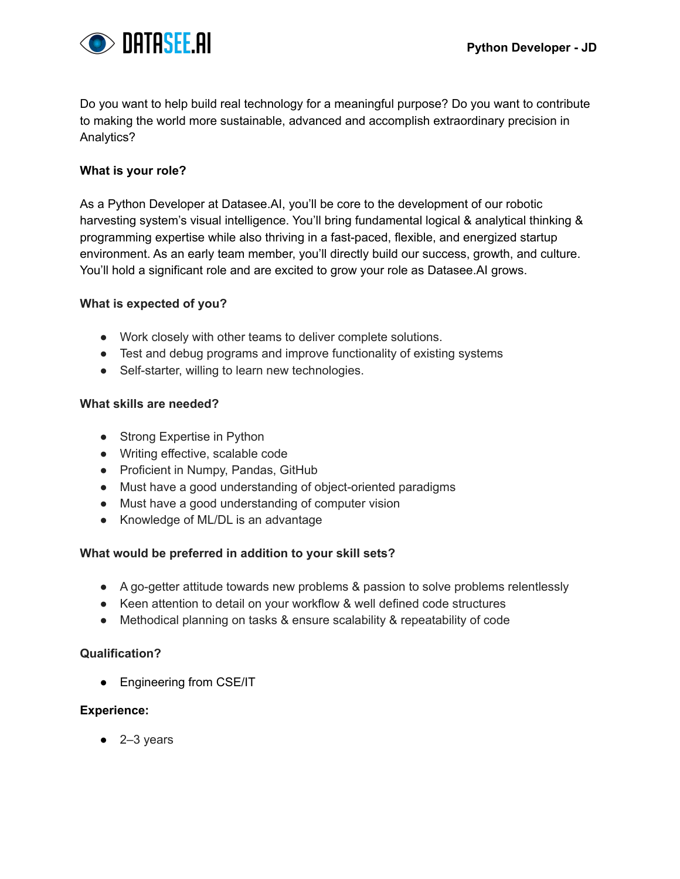

Do you want to help build real technology for a meaningful purpose? Do you want to contribute to making the world more sustainable, advanced and accomplish extraordinary precision in Analytics?

## **What is your role?**

As a Python Developer at Datasee.AI, you'll be core to the development of our robotic harvesting system's visual intelligence. You'll bring fundamental logical & analytical thinking & programming expertise while also thriving in a fast-paced, flexible, and energized startup environment. As an early team member, you'll directly build our success, growth, and culture. You'll hold a significant role and are excited to grow your role as Datasee.AI grows.

## **What is expected of you?**

- Work closely with other teams to deliver complete solutions.
- Test and debug programs and improve functionality of existing systems
- Self-starter, willing to learn new technologies.

### **What skills are needed?**

- Strong Expertise in Python
- Writing effective, scalable code
- Proficient in Numpy, Pandas, GitHub
- Must have a good understanding of object-oriented paradigms
- Must have a good understanding of computer vision
- Knowledge of ML/DL is an advantage

### **What would be preferred in addition to your skill sets?**

- A go-getter attitude towards new problems & passion to solve problems relentlessly
- Keen attention to detail on your workflow & well defined code structures
- Methodical planning on tasks & ensure scalability & repeatability of code

### **Qualification?**

• Engineering from CSE/IT

### **Experience:**

 $\bullet$  2-3 years